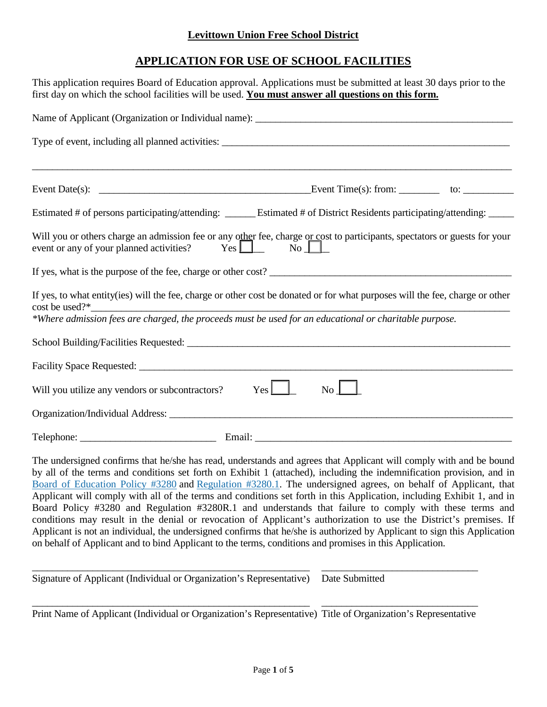### **Levittown Union Free School District**

# **APPLICATION FOR USE OF SCHOOL FACILITIES**

| This application requires Board of Education approval. Applications must be submitted at least 30 days prior to the<br>first day on which the school facilities will be used. You must answer all questions on this form.                                                                                                                                                                                                                                                                                                                                                                                                                                                                                                                                                                                                                                                                                                                                  |
|------------------------------------------------------------------------------------------------------------------------------------------------------------------------------------------------------------------------------------------------------------------------------------------------------------------------------------------------------------------------------------------------------------------------------------------------------------------------------------------------------------------------------------------------------------------------------------------------------------------------------------------------------------------------------------------------------------------------------------------------------------------------------------------------------------------------------------------------------------------------------------------------------------------------------------------------------------|
|                                                                                                                                                                                                                                                                                                                                                                                                                                                                                                                                                                                                                                                                                                                                                                                                                                                                                                                                                            |
|                                                                                                                                                                                                                                                                                                                                                                                                                                                                                                                                                                                                                                                                                                                                                                                                                                                                                                                                                            |
| ,我们也不能在这里的时候,我们也不能在这里的时候,我们也不能会在这里的时候,我们也不能会在这里的时候,我们也不能会在这里的时候,我们也不能会在这里的时候,我们也不                                                                                                                                                                                                                                                                                                                                                                                                                                                                                                                                                                                                                                                                                                                                                                                                                                                                          |
| Estimated # of persons participating/attending: ______ Estimated # of District Residents participating/attending: _____                                                                                                                                                                                                                                                                                                                                                                                                                                                                                                                                                                                                                                                                                                                                                                                                                                    |
| Will you or others charge an admission fee or any other fee, charge or cost to participants, spectators or guests for your<br>$Yes \nightharpoonup$<br>$\overline{\text{No}}$<br>event or any of your planned activities?                                                                                                                                                                                                                                                                                                                                                                                                                                                                                                                                                                                                                                                                                                                                  |
|                                                                                                                                                                                                                                                                                                                                                                                                                                                                                                                                                                                                                                                                                                                                                                                                                                                                                                                                                            |
| If yes, to what entity(ies) will the fee, charge or other cost be donated or for what purposes will the fee, charge or other<br>cost be used?*<br>*Where admission fees are charged, the proceeds must be used for an educational or charitable purpose.                                                                                                                                                                                                                                                                                                                                                                                                                                                                                                                                                                                                                                                                                                   |
|                                                                                                                                                                                                                                                                                                                                                                                                                                                                                                                                                                                                                                                                                                                                                                                                                                                                                                                                                            |
|                                                                                                                                                                                                                                                                                                                                                                                                                                                                                                                                                                                                                                                                                                                                                                                                                                                                                                                                                            |
| $Yes$ $\Box$<br>$\overline{N_{0}}$<br>Will you utilize any vendors or subcontractors?                                                                                                                                                                                                                                                                                                                                                                                                                                                                                                                                                                                                                                                                                                                                                                                                                                                                      |
|                                                                                                                                                                                                                                                                                                                                                                                                                                                                                                                                                                                                                                                                                                                                                                                                                                                                                                                                                            |
|                                                                                                                                                                                                                                                                                                                                                                                                                                                                                                                                                                                                                                                                                                                                                                                                                                                                                                                                                            |
| The undersigned confirms that he/she has read, understands and agrees that Applicant will comply with and be bound<br>by all of the terms and conditions set forth on Exhibit 1 (attached), including the indemnification provision, and in<br>Board of Education Policy #3280 and Regulation #3280.1. The undersigned agrees, on behalf of Applicant, that<br>Applicant will comply with all of the terms and conditions set forth in this Application, including Exhibit 1, and in<br>Board Policy #3280 and Regulation #3280R.1 and understands that failure to comply with these terms and<br>conditions may result in the denial or revocation of Applicant's authorization to use the District's premises. If<br>Applicant is not an individual, the undersigned confirms that he/she is authorized by Applicant to sign this Application<br>on behalf of Applicant and to bind Applicant to the terms, conditions and promises in this Application. |
| Signature of Applicant (Individual or Organization's Representative)<br>Date Submitted                                                                                                                                                                                                                                                                                                                                                                                                                                                                                                                                                                                                                                                                                                                                                                                                                                                                     |

\_\_\_\_\_\_\_\_\_\_\_\_\_\_\_\_\_\_\_\_\_\_\_\_\_\_\_\_\_\_\_\_\_\_\_\_\_\_\_\_\_\_\_\_\_\_\_\_\_\_\_\_\_\_\_ \_\_\_\_\_\_\_\_\_\_\_\_\_\_\_\_\_\_\_\_\_\_\_\_\_\_\_\_\_\_\_ Print Name of Applicant (Individual or Organization's Representative) Title of Organization's Representative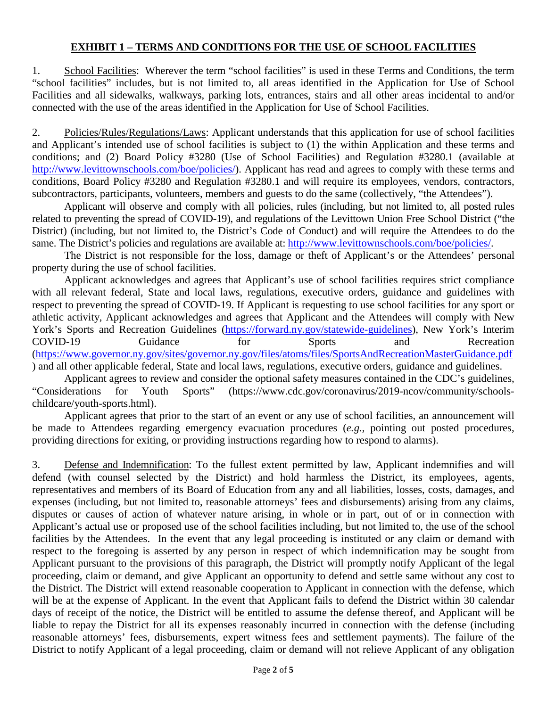#### **EXHIBIT 1 – TERMS AND CONDITIONS FOR THE USE OF SCHOOL FACILITIES**

1. School Facilities: Wherever the term "school facilities" is used in these Terms and Conditions, the term "school facilities" includes, but is not limited to, all areas identified in the Application for Use of School Facilities and all sidewalks, walkways, parking lots, entrances, stairs and all other areas incidental to and/or connected with the use of the areas identified in the Application for Use of School Facilities.

2. Policies/Rules/Regulations/Laws: Applicant understands that this application for use of school facilities and Applicant's intended use of school facilities is subject to (1) the within Application and these terms and conditions; and (2) Board Policy #3280 (Use of School Facilities) and Regulation #3280.1 (available at [http://www.levittownschools.com/boe/policies/\)](http://www.levittownschools.com/boe/policies/). Applicant has read and agrees to comply with these terms and conditions, Board Policy #3280 and Regulation #3280.1 and will require its employees, vendors, contractors, subcontractors, participants, volunteers, members and guests to do the same (collectively, "the Attendees").

Applicant will observe and comply with all policies, rules (including, but not limited to, all posted rules related to preventing the spread of COVID-19), and regulations of the Levittown Union Free School District ("the District) (including, but not limited to, the District's Code of Conduct) and will require the Attendees to do the same. The District's policies and regulations are available at: [http://www.levittownschools.com/boe/policies/.](http://www.levittownschools.com/boe/policies/)

The District is not responsible for the loss, damage or theft of Applicant's or the Attendees' personal property during the use of school facilities.

Applicant acknowledges and agrees that Applicant's use of school facilities requires strict compliance with all relevant federal, State and local laws, regulations, executive orders, guidance and guidelines with respect to preventing the spread of COVID-19. If Applicant is requesting to use school facilities for any sport or athletic activity, Applicant acknowledges and agrees that Applicant and the Attendees will comply with New York's Sports and Recreation Guidelines [\(https://forward.ny.gov/statewide-guidelines\)](https://forward.ny.gov/statewide-guidelines), New York's Interim COVID-19 Guidance for Sports and Recreation [\(https://www.governor.ny.gov/sites/governor.ny.gov/files/atoms/files/SportsAndRecreationMasterGuidance.pdf](https://www.governor.ny.gov/sites/governor.ny.gov/files/atoms/files/SportsAndRecreationMasterGuidance.pdf) ) and all other applicable federal, State and local laws, regulations, executive orders, guidance and guidelines.

Applicant agrees to review and consider the optional safety measures contained in the CDC's guidelines, "Considerations for Youth Sports" (https://www.cdc.gov/coronavirus/2019-ncov/community/schoolschildcare/youth-sports.html).

Applicant agrees that prior to the start of an event or any use of school facilities, an announcement will be made to Attendees regarding emergency evacuation procedures (*e.g.,* pointing out posted procedures, providing directions for exiting, or providing instructions regarding how to respond to alarms).

3. Defense and Indemnification: To the fullest extent permitted by law, Applicant indemnifies and will defend (with counsel selected by the District) and hold harmless the District, its employees, agents, representatives and members of its Board of Education from any and all liabilities, losses, costs, damages, and expenses (including, but not limited to, reasonable attorneys' fees and disbursements) arising from any claims, disputes or causes of action of whatever nature arising, in whole or in part, out of or in connection with Applicant's actual use or proposed use of the school facilities including, but not limited to, the use of the school facilities by the Attendees. In the event that any legal proceeding is instituted or any claim or demand with respect to the foregoing is asserted by any person in respect of which indemnification may be sought from Applicant pursuant to the provisions of this paragraph, the District will promptly notify Applicant of the legal proceeding, claim or demand, and give Applicant an opportunity to defend and settle same without any cost to the District. The District will extend reasonable cooperation to Applicant in connection with the defense, which will be at the expense of Applicant. In the event that Applicant fails to defend the District within 30 calendar days of receipt of the notice, the District will be entitled to assume the defense thereof, and Applicant will be liable to repay the District for all its expenses reasonably incurred in connection with the defense (including reasonable attorneys' fees, disbursements, expert witness fees and settlement payments). The failure of the District to notify Applicant of a legal proceeding, claim or demand will not relieve Applicant of any obligation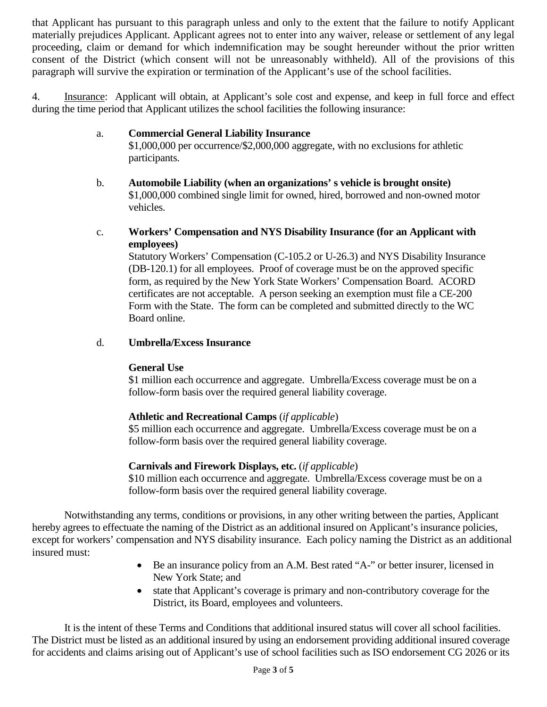that Applicant has pursuant to this paragraph unless and only to the extent that the failure to notify Applicant materially prejudices Applicant. Applicant agrees not to enter into any waiver, release or settlement of any legal proceeding, claim or demand for which indemnification may be sought hereunder without the prior written consent of the District (which consent will not be unreasonably withheld). All of the provisions of this paragraph will survive the expiration or termination of the Applicant's use of the school facilities.

4. Insurance: Applicant will obtain, at Applicant's sole cost and expense, and keep in full force and effect during the time period that Applicant utilizes the school facilities the following insurance:

## a. **Commercial General Liability Insurance**

\$1,000,000 per occurrence/\$2,000,000 aggregate, with no exclusions for athletic participants.

- b. **Automobile Liability (when an organizations' s vehicle is brought onsite)** \$1,000,000 combined single limit for owned, hired, borrowed and non-owned motor vehicles.
- c. **Workers' Compensation and NYS Disability Insurance (for an Applicant with employees)**

Statutory Workers' Compensation (C-105.2 or U-26.3) and NYS Disability Insurance (DB-120.1) for all employees. Proof of coverage must be on the approved specific form, as required by the New York State Workers' Compensation Board. ACORD certificates are not acceptable. A person seeking an exemption must file a CE-200 Form with the State. The form can be completed and submitted directly to the WC Board online.

#### d. **Umbrella/Excess Insurance**

#### **General Use**

\$1 million each occurrence and aggregate. Umbrella/Excess coverage must be on a follow-form basis over the required general liability coverage.

# **Athletic and Recreational Camps** (*if applicable*)

\$5 million each occurrence and aggregate. Umbrella/Excess coverage must be on a follow-form basis over the required general liability coverage.

#### **Carnivals and Firework Displays, etc.** (*if applicable*)

\$10 million each occurrence and aggregate. Umbrella/Excess coverage must be on a follow-form basis over the required general liability coverage.

Notwithstanding any terms, conditions or provisions, in any other writing between the parties, Applicant hereby agrees to effectuate the naming of the District as an additional insured on Applicant's insurance policies, except for workers' compensation and NYS disability insurance. Each policy naming the District as an additional insured must:

- Be an insurance policy from an A.M. Best rated "A-" or better insurer, licensed in New York State; and
- state that Applicant's coverage is primary and non-contributory coverage for the District, its Board, employees and volunteers.

It is the intent of these Terms and Conditions that additional insured status will cover all school facilities. The District must be listed as an additional insured by using an endorsement providing additional insured coverage for accidents and claims arising out of Applicant's use of school facilities such as ISO endorsement CG 2026 or its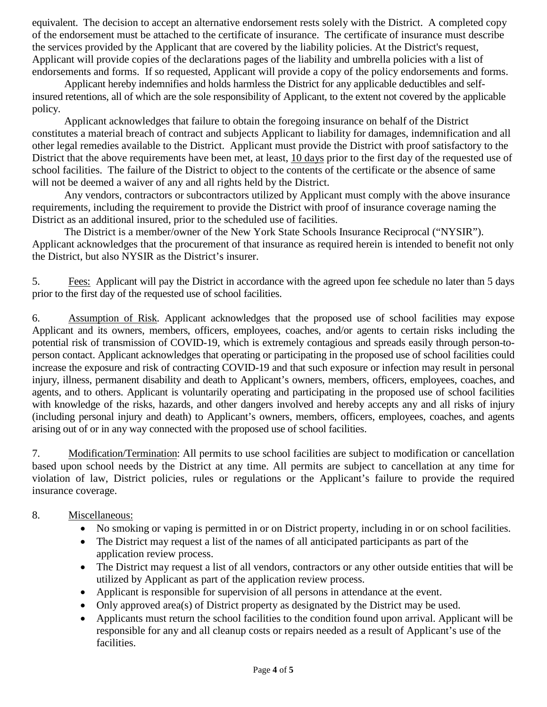equivalent. The decision to accept an alternative endorsement rests solely with the District. A completed copy of the endorsement must be attached to the certificate of insurance. The certificate of insurance must describe the services provided by the Applicant that are covered by the liability policies. At the District's request, Applicant will provide copies of the declarations pages of the liability and umbrella policies with a list of endorsements and forms. If so requested, Applicant will provide a copy of the policy endorsements and forms.

Applicant hereby indemnifies and holds harmless the District for any applicable deductibles and selfinsured retentions, all of which are the sole responsibility of Applicant, to the extent not covered by the applicable policy.

Applicant acknowledges that failure to obtain the foregoing insurance on behalf of the District constitutes a material breach of contract and subjects Applicant to liability for damages, indemnification and all other legal remedies available to the District. Applicant must provide the District with proof satisfactory to the District that the above requirements have been met, at least, 10 days prior to the first day of the requested use of school facilities. The failure of the District to object to the contents of the certificate or the absence of same will not be deemed a waiver of any and all rights held by the District.

Any vendors, contractors or subcontractors utilized by Applicant must comply with the above insurance requirements, including the requirement to provide the District with proof of insurance coverage naming the District as an additional insured, prior to the scheduled use of facilities.

The District is a member/owner of the New York State Schools Insurance Reciprocal ("NYSIR"). Applicant acknowledges that the procurement of that insurance as required herein is intended to benefit not only the District, but also NYSIR as the District's insurer.

5. Fees: Applicant will pay the District in accordance with the agreed upon fee schedule no later than 5 days prior to the first day of the requested use of school facilities.

6. Assumption of Risk. Applicant acknowledges that the proposed use of school facilities may expose Applicant and its owners, members, officers, employees, coaches, and/or agents to certain risks including the potential risk of transmission of COVID-19, which is extremely contagious and spreads easily through person-toperson contact. Applicant acknowledges that operating or participating in the proposed use of school facilities could increase the exposure and risk of contracting COVID-19 and that such exposure or infection may result in personal injury, illness, permanent disability and death to Applicant's owners, members, officers, employees, coaches, and agents, and to others. Applicant is voluntarily operating and participating in the proposed use of school facilities with knowledge of the risks, hazards, and other dangers involved and hereby accepts any and all risks of injury (including personal injury and death) to Applicant's owners, members, officers, employees, coaches, and agents arising out of or in any way connected with the proposed use of school facilities.

7. Modification/Termination: All permits to use school facilities are subject to modification or cancellation based upon school needs by the District at any time. All permits are subject to cancellation at any time for violation of law, District policies, rules or regulations or the Applicant's failure to provide the required insurance coverage.

#### 8. Miscellaneous:

- No smoking or vaping is permitted in or on District property, including in or on school facilities.
- The District may request a list of the names of all anticipated participants as part of the application review process.
- The District may request a list of all vendors, contractors or any other outside entities that will be utilized by Applicant as part of the application review process.
- Applicant is responsible for supervision of all persons in attendance at the event.
- Only approved area(s) of District property as designated by the District may be used.
- Applicants must return the school facilities to the condition found upon arrival. Applicant will be responsible for any and all cleanup costs or repairs needed as a result of Applicant's use of the facilities.